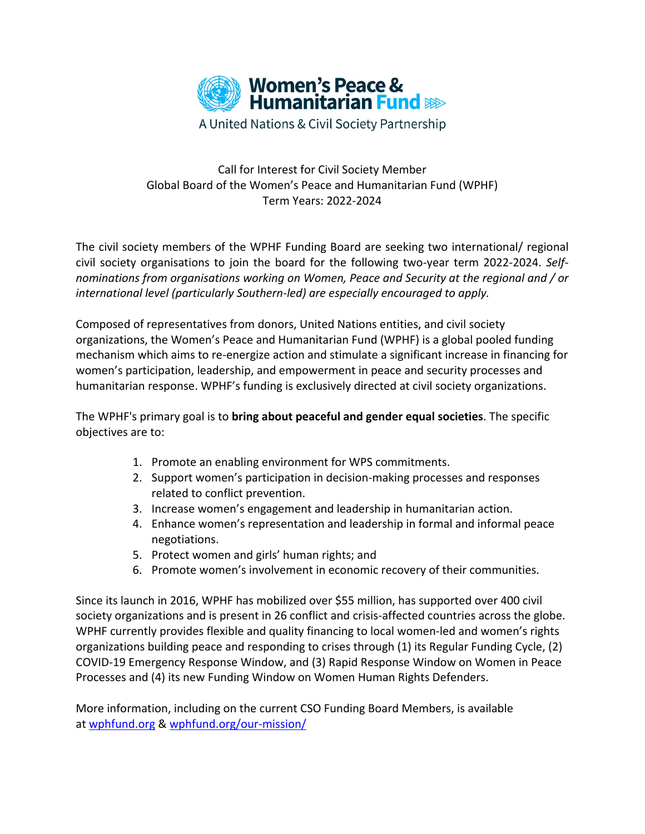

## Call for Interest for Civil Society Member Global Board of the Women's Peace and Humanitarian Fund (WPHF) Term Years: 2022-2024

The civil society members of the WPHF Funding Board are seeking two international/ regional civil society organisations to join the board for the following two-year term 2022-2024. *Selfnominations from organisations working on Women, Peace and Security at the regional and / or international level (particularly Southern-led) are especially encouraged to apply.*

Composed of representatives from donors, United Nations entities, and civil society organizations, the Women's Peace and Humanitarian Fund (WPHF) is a global pooled funding mechanism which aims to re-energize action and stimulate a significant increase in financing for women's participation, leadership, and empowerment in peace and security processes and humanitarian response. WPHF's funding is exclusively directed at civil society organizations.

The WPHF's primary goal is to **bring about peaceful and gender equal societies**. The specific objectives are to:

- 1. Promote an enabling environment for WPS commitments.
- 2. Support women's participation in decision-making processes and responses related to conflict prevention.
- 3. Increase women's engagement and leadership in humanitarian action.
- 4. Enhance women's representation and leadership in formal and informal peace negotiations.
- 5. Protect women and girls' human rights; and
- 6. Promote women's involvement in economic recovery of their communities.

Since its launch in 2016, WPHF has mobilized over \$55 million, has supported over 400 civil society organizations and is present in 26 conflict and crisis-affected countries across the globe. WPHF currently provides flexible and quality financing to local women-led and women's rights organizations building peace and responding to crises through (1) its Regular Funding Cycle, (2) COVID-19 Emergency Response Window, and (3) Rapid Response Window on Women in Peace Processes and (4) its new Funding Window on Women Human Rights Defenders.

More information, including on the current CSO Funding Board Members, is available at [wphfund.org](http://www.wphfund.org/) & [wphfund.org/our-mission/](http://www.wphfund.org/our-mission/)